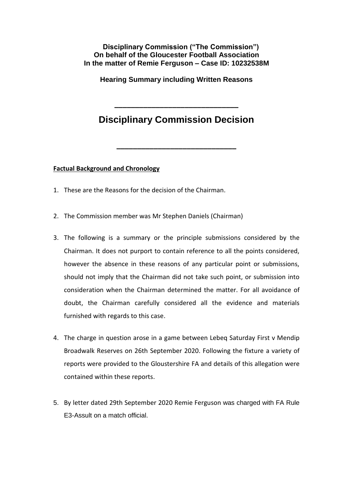## **Disciplinary Commission ("The Commission") On behalf of the Gloucester Football Association In the matter of Remie Ferguson – Case ID: 10232538M**

**Hearing Summary including Written Reasons**

## **Disciplinary Commission Decision**

**\_\_\_\_\_\_\_\_\_\_\_\_\_\_\_\_\_\_\_\_\_\_\_\_\_\_\_\_\_**

**\_\_\_\_\_\_\_\_\_\_\_\_\_\_\_\_\_\_\_\_\_\_\_\_\_\_\_\_\_\_**

**Factual Background and Chronology** 

- 1. These are the Reasons for the decision of the Chairman.
- 2. The Commission member was Mr Stephen Daniels (Chairman)
- 3. The following is a summary or the principle submissions considered by the Chairman. It does not purport to contain reference to all the points considered, however the absence in these reasons of any particular point or submissions, should not imply that the Chairman did not take such point, or submission into consideration when the Chairman determined the matter. For all avoidance of doubt, the Chairman carefully considered all the evidence and materials furnished with regards to this case.
- 4. The charge in question arose in a game between Lebeq Saturday First v Mendip Broadwalk Reserves on 26th September 2020. Following the fixture a variety of reports were provided to the Gloustershire FA and details of this allegation were contained within these reports.
- 5. By letter dated 29th September 2020 Remie Ferguson was charged with FA Rule E3-Assult on a match official.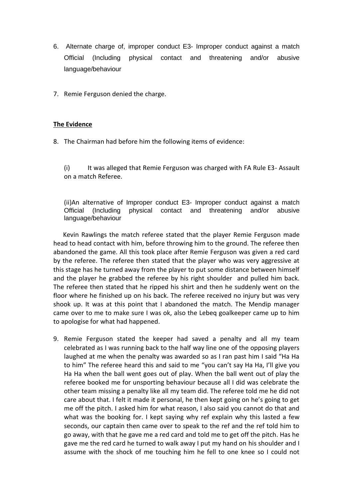- 6. Alternate charge of, improper conduct E3- Improper conduct against a match Official (Including physical contact and threatening and/or abusive language/behaviour
- 7. Remie Ferguson denied the charge.

## **The Evidence**

8. The Chairman had before him the following items of evidence:

(i) It was alleged that Remie Ferguson was charged with FA Rule E3- Assault on a match Referee.

(ii)An alternative of Improper conduct E3- Improper conduct against a match Official (Including physical contact and threatening and/or abusive language/behaviour

 Kevin Rawlings the match referee stated that the player Remie Ferguson made head to head contact with him, before throwing him to the ground. The referee then abandoned the game. All this took place after Remie Ferguson was given a red card by the referee. The referee then stated that the player who was very aggressive at this stage has he turned away from the player to put some distance between himself and the player he grabbed the referee by his right shoulder and pulled him back. The referee then stated that he ripped his shirt and then he suddenly went on the floor where he finished up on his back. The referee received no injury but was very shook up. It was at this point that I abandoned the match. The Mendip manager came over to me to make sure I was ok, also the Lebeq goalkeeper came up to him to apologise for what had happened.

9. Remie Ferguson stated the keeper had saved a penalty and all my team celebrated as I was running back to the half way line one of the opposing players laughed at me when the penalty was awarded so as I ran past him I said "Ha Ha to him" The referee heard this and said to me "you can't say Ha Ha, I'll give you Ha Ha when the ball went goes out of play. When the ball went out of play the referee booked me for unsporting behaviour because all I did was celebrate the other team missing a penalty like all my team did. The referee told me he did not care about that. I felt it made it personal, he then kept going on he's going to get me off the pitch. I asked him for what reason, I also said you cannot do that and what was the booking for. I kept saying why ref explain why this lasted a few seconds, our captain then came over to speak to the ref and the ref told him to go away, with that he gave me a red card and told me to get off the pitch. Has he gave me the red card he turned to walk away I put my hand on his shoulder and I assume with the shock of me touching him he fell to one knee so I could not